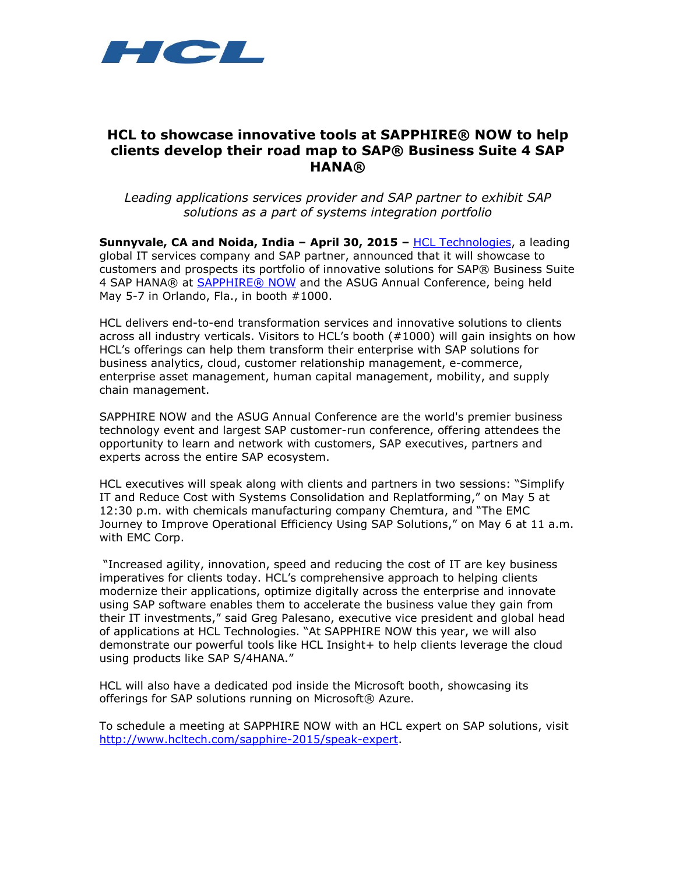

# **HCL to showcase innovative tools at SAPPHIRE® NOW to help clients develop their road map to SAP® Business Suite 4 SAP HANA®**

*Leading applications services provider and SAP partner to exhibit SAP solutions as a part of systems integration portfolio* 

**Sunnyvale, CA and Noida, India – April 30, 2015 –** [HCL Technologies,](http://www.hcltech.com/) a leading global IT services company and SAP partner, announced that it will showcase to customers and prospects its portfolio of innovative solutions for SAP® Business Suite 4 SAP HANA® at [SAPPHIRE®](http://events.sap.com/sapandasug/en/home.html) NOW and the ASUG Annual Conference, being held May 5-7 in Orlando, Fla., in booth #1000.

HCL delivers end-to-end transformation services and innovative solutions to clients across all industry verticals. Visitors to HCL's booth (#1000) will gain insights on how HCL's offerings can help them transform their enterprise with SAP solutions for business analytics, cloud, customer relationship management, e-commerce, enterprise asset management, human capital management, mobility, and supply chain management.

SAPPHIRE NOW and the ASUG Annual Conference are the world's premier business technology event and largest SAP customer-run conference, offering attendees the opportunity to learn and network with customers, SAP executives, partners and experts across the entire SAP ecosystem.

HCL executives will speak along with clients and partners in two sessions: "Simplify IT and Reduce Cost with Systems Consolidation and Replatforming," on May 5 at 12:30 p.m. with chemicals manufacturing company Chemtura, and "The EMC Journey to Improve Operational Efficiency Using SAP Solutions," on May 6 at 11 a.m. with EMC Corp.

"Increased agility, innovation, speed and reducing the cost of IT are key business imperatives for clients today. HCL's comprehensive approach to helping clients modernize their applications, optimize digitally across the enterprise and innovate using SAP software enables them to accelerate the business value they gain from their IT investments," said Greg Palesano, executive vice president and global head of applications at HCL Technologies. "At SAPPHIRE NOW this year, we will also demonstrate our powerful tools like HCL Insight+ to help clients leverage the cloud using products like SAP S/4HANA."

HCL will also have a dedicated pod inside the Microsoft booth, showcasing its offerings for SAP solutions running on Microsoft® Azure.

To schedule a meeting at SAPPHIRE NOW with an HCL expert on SAP solutions, visit [http://www.hcltech.com/sapphire-2015/speak-expert.](http://www.hcltech.com/sapphire-2015/speak-expert)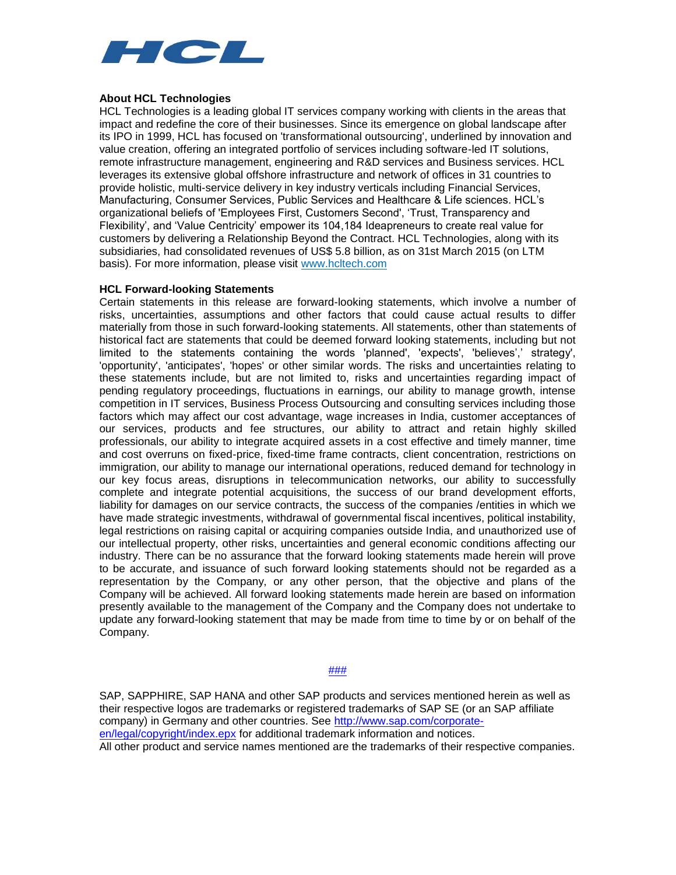

### **About HCL Technologies**

HCL Technologies is a leading global IT services company working with clients in the areas that impact and redefine the core of their businesses. Since its emergence on global landscape after its IPO in 1999, HCL has focused on 'transformational outsourcing', underlined by innovation and value creation, offering an integrated portfolio of services including software-led IT solutions, remote infrastructure management, engineering and R&D services and Business services. HCL leverages its extensive global offshore infrastructure and network of offices in 31 countries to provide holistic, multi-service delivery in key industry verticals including Financial Services, Manufacturing, Consumer Services, Public Services and Healthcare & Life sciences. HCL's organizational beliefs of 'Employees First, Customers Second', 'Trust, Transparency and Flexibility', and 'Value Centricity' empower its 104,184 Ideapreneurs to create real value for customers by delivering a Relationship Beyond the Contract. HCL Technologies, along with its subsidiaries, had consolidated revenues of US\$ 5.8 billion, as on 31st March 2015 (on LTM basis). For more information, please visit [www.hcltech.com](http://www.hcltech.com/)

#### **HCL Forward-looking Statements**

Certain statements in this release are forward-looking statements, which involve a number of risks, uncertainties, assumptions and other factors that could cause actual results to differ materially from those in such forward-looking statements. All statements, other than statements of historical fact are statements that could be deemed forward looking statements, including but not limited to the statements containing the words 'planned', 'expects', 'believes',' strategy', 'opportunity', 'anticipates', 'hopes' or other similar words. The risks and uncertainties relating to these statements include, but are not limited to, risks and uncertainties regarding impact of pending regulatory proceedings, fluctuations in earnings, our ability to manage growth, intense competition in IT services, Business Process Outsourcing and consulting services including those factors which may affect our cost advantage, wage increases in India, customer acceptances of our services, products and fee structures, our ability to attract and retain highly skilled professionals, our ability to integrate acquired assets in a cost effective and timely manner, time and cost overruns on fixed-price, fixed-time frame contracts, client concentration, restrictions on immigration, our ability to manage our international operations, reduced demand for technology in our key focus areas, disruptions in telecommunication networks, our ability to successfully complete and integrate potential acquisitions, the success of our brand development efforts, liability for damages on our service contracts, the success of the companies /entities in which we have made strategic investments, withdrawal of governmental fiscal incentives, political instability, legal restrictions on raising capital or acquiring companies outside India, and unauthorized use of our intellectual property, other risks, uncertainties and general economic conditions affecting our industry. There can be no assurance that the forward looking statements made herein will prove to be accurate, and issuance of such forward looking statements should not be regarded as a representation by the Company, or any other person, that the objective and plans of the Company will be achieved. All forward looking statements made herein are based on information presently available to the management of the Company and the Company does not undertake to update any forward-looking statement that may be made from time to time by or on behalf of the Company.

#### ###

SAP, SAPPHIRE, SAP HANA and other SAP products and services mentioned herein as well as their respective logos are trademarks or registered trademarks of SAP SE (or an SAP affiliate company) in Germany and other countries. See [http://www.sap.com/corporate](http://www.sap.com/corporate-en/legal/copyright/index.epx)[en/legal/copyright/index.epx](http://www.sap.com/corporate-en/legal/copyright/index.epx) for additional trademark information and notices.

All other product and service names mentioned are the trademarks of their respective companies.